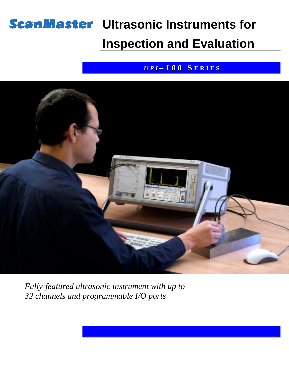# **ScanMaster Ultrasonic Instruments for**

## **Inspection and Evaluation**

#### *U P I – 1 0 0* **S E R I E S**



*Fully-featured ultrasonic instrument with up to 32 channels and programmable I/O ports*